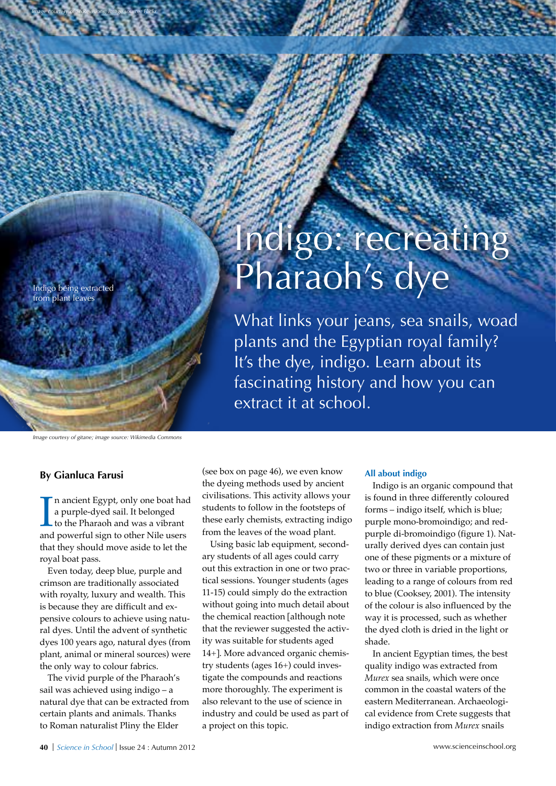Indigo being extracted from plant leaves

*Image courtesy of SixRevisions; image source: Flickr*

# Indigo: recreating Pharaoh's dye

What links your jeans, sea snails, woad plants and the Egyptian royal family? It's the dye, indigo. Learn about its fascinating history and how you can extract it at school.

*Image courtesy of gitane; image source: Wikimedia Commons*

### **By Gianluca Farusi**

In ancient Egypt, only one boat had<br>a purple-dyed sail. It belonged<br>to the Pharaoh and was a vibrant<br>and powerful sign to other Nile users n ancient Egypt, only one boat had a purple-dyed sail. It belonged to the Pharaoh and was a vibrant that they should move aside to let the royal boat pass.

Even today, deep blue, purple and crimson are traditionally associated with royalty, luxury and wealth. This is because they are difficult and expensive colours to achieve using natural dyes. Until the advent of synthetic dyes 100 years ago, natural dyes (from plant, animal or mineral sources) were the only way to colour fabrics.

The vivid purple of the Pharaoh's sail was achieved using indigo – a natural dye that can be extracted from certain plants and animals. Thanks to Roman naturalist Pliny the Elder

(see box on page 46), we even know the dyeing methods used by ancient civilisations. This activity allows your students to follow in the footsteps of these early chemists, extracting indigo from the leaves of the woad plant.

Using basic lab equipment, secondary students of all ages could carry out this extraction in one or two practical sessions. Younger students (ages 11-15) could simply do the extraction without going into much detail about the chemical reaction [although note that the reviewer suggested the activity was suitable for students aged 14+]. More advanced organic chemistry students (ages 16+) could investigate the compounds and reactions more thoroughly. The experiment is also relevant to the use of science in industry and could be used as part of a project on this topic.

### **All about indigo**

Indigo is an organic compound that is found in three differently coloured forms – indigo itself, which is blue; purple mono-bromoindigo; and redpurple di-bromoindigo (figure 1). Naturally derived dyes can contain just one of these pigments or a mixture of two or three in variable proportions, leading to a range of colours from red to blue (Cooksey, 2001). The intensity of the colour is also influenced by the way it is processed, such as whether the dyed cloth is dried in the light or shade.

In ancient Egyptian times, the best quality indigo was extracted from *Murex* sea snails, which were once common in the coastal waters of the eastern Mediterranean. Archaeological evidence from Crete suggests that indigo extraction from *Murex* snails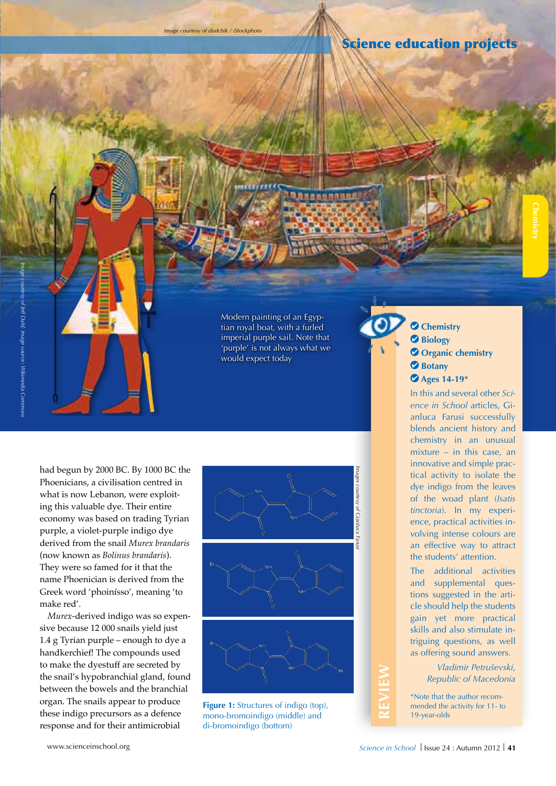## Science education projects

had begun by 2000 BC. By 1000 BC the Phoenicians, a civilisation centred in what is now Lebanon, were exploiting this valuable dye. Their entire economy was based on trading Tyrian purple, a violet-purple indigo dye derived from the snail *Murex brandaris*  (now known as *Bolinus brandaris*). They were so famed for it that the name Phoenician is derived from the Greek word 'phoinísso', meaning 'to

*Murex*-derived indigo was so expensive because 12 000 snails yield just 1.4 g Tyrian purple – enough to dye a handkerchief! The compounds used to make the dyestuff are secreted by the snail's hypobranchial gland, found between the bowels and the branchial organ. The snails appear to produce these indigo precursors as a defence response and for their antimicrobial



Modern painting of an Egyptian royal boat, with a furled imperial purple sail. Note that 'purple' is not always what we

**Annonana** 

would expect today

**Figure 1:** Structures of indigo (top), mono-bromoindigo (middle) and di-bromoindigo (bottom)

 **Chemistry Biology** *O* Organic chemistry *<u>Botany</u>*  **Ages 14-19\***

**Chemistry** 

In this and several other *Science in School* articles, Gianluca Farusi successfully blends ancient history and chemistry in an unusual mixture – in this case, an innovative and simple practical activity to isolate the dye indigo from the leaves of the woad plant (*Isatis tinctoria*). In my experience, practical activities involving intense colours are an effective way to attract the students' attention.

The additional activities and supplemental questions suggested in the article should help the students gain yet more practical skills and also stimulate intriguing questions, as well as offering sound answers.

> *Vladimir Petruševski, Republic of Macedonia*

\*Note that the author recommended the activity for 11- to 19-year-olds

make red'.

**REVIEW**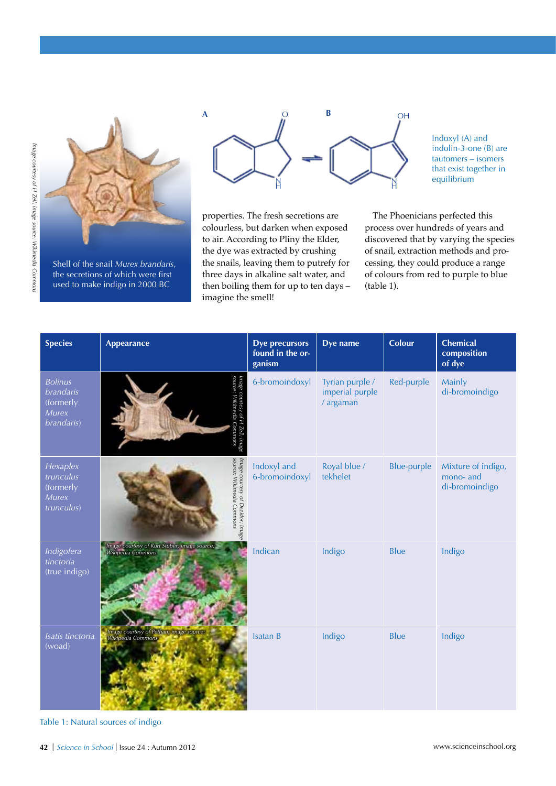

Shell of the snail *Murex brandaris*, the secretions of which were first used to make indigo in 2000 BC



properties. The fresh secretions are colourless, but darken when exposed to air. According to Pliny the Elder, the dye was extracted by crushing the snails, leaving them to putrefy for three days in alkaline salt water, and then boiling them for up to ten days – imagine the smell!

Indoxyl (A) and indolin-3-one (B) are tautomers – isomers that exist together in equilibrium

The Phoenicians perfected this process over hundreds of years and discovered that by varying the species of snail, extraction methods and processing, they could produce a range of colours from red to purple to blue (table 1).

| <b>Species</b>                                                                | <b>Appearance</b>                                                 | <b>Dye precursors</b><br>found in the or-<br>ganism | Dye name                                        | <b>Colour</b>      | <b>Chemical</b><br>composition<br>of dye          |
|-------------------------------------------------------------------------------|-------------------------------------------------------------------|-----------------------------------------------------|-------------------------------------------------|--------------------|---------------------------------------------------|
| <b>Bolinus</b><br><b>brandaris</b><br>(formerly<br><b>Murex</b><br>brandaris) |                                                                   | 6-bromoindoxyl                                      | Tyrian purple /<br>imperial purple<br>/ argaman | Red-purple         | Mainly<br>di-bromoindigo                          |
| Hexaplex<br>trunculus<br>(formerly<br><b>Murex</b><br>trunculus)              | Image courtesy of Dezidor; image<br>source: Wikimedia Commons     | Indoxyl and<br>6-bromoindoxyl                       | Royal blue /<br>tekhelet                        | <b>Blue-purple</b> | Mixture of indigo,<br>mono- and<br>di-bromoindigo |
| Indigofera<br>tinctoria<br>(true indigo)                                      | Image courtesy of Kurt Stüber; image source:<br>Wikipedia Commons | Indican                                             | Indigo                                          | <b>Blue</b>        | Indigo                                            |
| Isatis tinctoria<br>(woad)                                                    | Image courtesy of Pethan; image source:<br>Wikipedia Commons      | <b>Isatan B</b>                                     | Indigo                                          | Blue               | Indigo                                            |

Table 1: Natural sources of indigo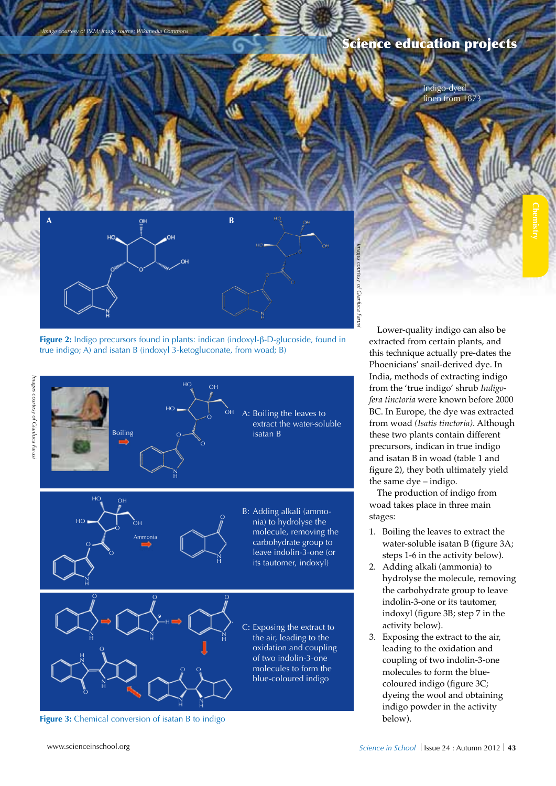

Indigo-dyed linen from 1873

**Chemistry** 



*Image courtesy of PKM; image source: Wikimedia Commons*

**Figure 2:** Indigo precursors found in plants: indican (indoxyl-β-D-glucoside, found in true indigo; A) and isatan B (indoxyl 3-ketogluconate, from woad; B)



**Figure 3:** Chemical conversion of isatan B to indigo

Lower-quality indigo can also be extracted from certain plants, and this technique actually pre-dates the Phoenicians' snail-derived dye. In India, methods of extracting indigo from the 'true indigo' shrub *Indigofera tinctoria* were known before 2000 BC. In Europe, the dye was extracted from woad *(Isatis tinctoria)*. Although these two plants contain different precursors, indican in true indigo and isatan B in woad (table 1 and figure 2), they both ultimately yield the same dye – indigo.

The production of indigo from woad takes place in three main stages:

- 1. Boiling the leaves to extract the water-soluble isatan B (figure 3A; steps 1-6 in the activity below).
- 2. Adding alkali (ammonia) to hydrolyse the molecule, removing the carbohydrate group to leave indolin-3-one or its tautomer, indoxyl (figure 3B; step 7 in the activity below).
- 3. Exposing the extract to the air, leading to the oxidation and coupling of two indolin-3-one molecules to form the bluecoloured indigo (figure 3C; dyeing the wool and obtaining indigo powder in the activity below).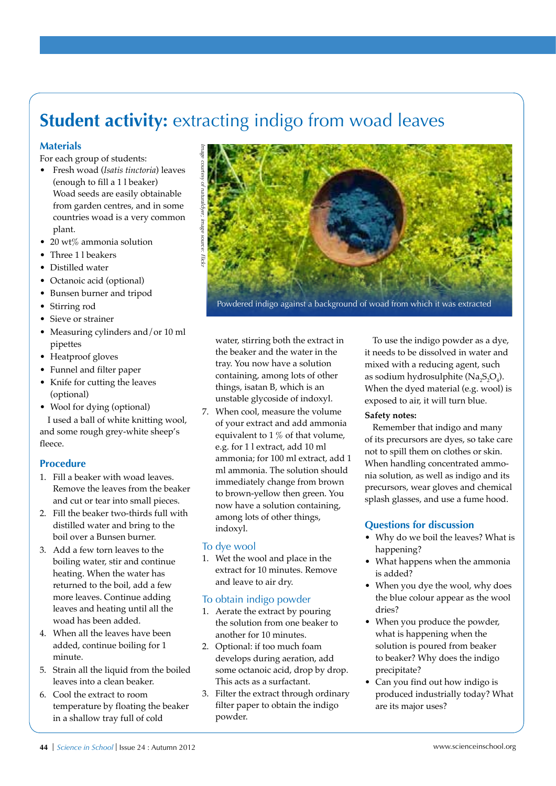# **Student activity: extracting indigo from woad leaves**

### **Materials**

For each group of students:

- • Fresh woad (*Isatis tinctoria*) leaves (enough to fill a 1 l beaker) Woad seeds are easily obtainable from garden centres, and in some countries woad is a very common plant.
- 20 wt% ammonia solution
- Three 1 l beakers
- • Distilled water
- Octanoic acid (optional)
- • Bunsen burner and tripod
- Stirring rod
- Sieve or strainer
- Measuring cylinders and/or 10 ml pipettes
- Heatproof gloves
- • Funnel and filter paper
- Knife for cutting the leaves (optional)
- Wool for dying (optional) I used a ball of white knitting wool, and some rough grey-white sheep's fleece.

### **Procedure**

- 1. Fill a beaker with woad leaves. Remove the leaves from the beaker and cut or tear into small pieces.
- 2. Fill the beaker two-thirds full with distilled water and bring to the boil over a Bunsen burner.
- 3. Add a few torn leaves to the boiling water, stir and continue heating. When the water has returned to the boil, add a few more leaves. Continue adding leaves and heating until all the woad has been added.
- 4. When all the leaves have been added, continue boiling for 1 minute.
- 5. Strain all the liquid from the boiled leaves into a clean beaker.
- 6. Cool the extract to room temperature by floating the beaker in a shallow tray full of cold



water, stirring both the extract in the beaker and the water in the tray. You now have a solution containing, among lots of other things, isatan B, which is an unstable glycoside of indoxyl.

7. When cool, measure the volume of your extract and add ammonia equivalent to 1 % of that volume, e.g. for 1 l extract, add 10 ml ammonia; for 100 ml extract, add 1 ml ammonia. The solution should immediately change from brown to brown-yellow then green. You now have a solution containing, among lots of other things, indoxyl.

### To dye wool

1. Wet the wool and place in the extract for 10 minutes. Remove and leave to air dry.

### To obtain indigo powder

- 1. Aerate the extract by pouring the solution from one beaker to another for 10 minutes.
- 2. Optional: if too much foam develops during aeration, add some octanoic acid, drop by drop. This acts as a surfactant.
- 3. Filter the extract through ordinary filter paper to obtain the indigo powder.

To use the indigo powder as a dye, it needs to be dissolved in water and mixed with a reducing agent, such as sodium hydrosulphite ( $\text{Na}_2\text{S}_2\text{O}_4$ ). When the dyed material (e.g. wool) is exposed to air, it will turn blue.

### **Safety notes:**

Remember that indigo and many of its precursors are dyes, so take care not to spill them on clothes or skin. When handling concentrated ammonia solution, as well as indigo and its precursors, wear gloves and chemical splash glasses, and use a fume hood.

### **Questions for discussion**

- Why do we boil the leaves? What is happening?
- What happens when the ammonia is added?
- When you dye the wool, why does the blue colour appear as the wool dries?
- When you produce the powder, what is happening when the solution is poured from beaker to beaker? Why does the indigo precipitate?
- Can you find out how indigo is produced industrially today? What are its major uses?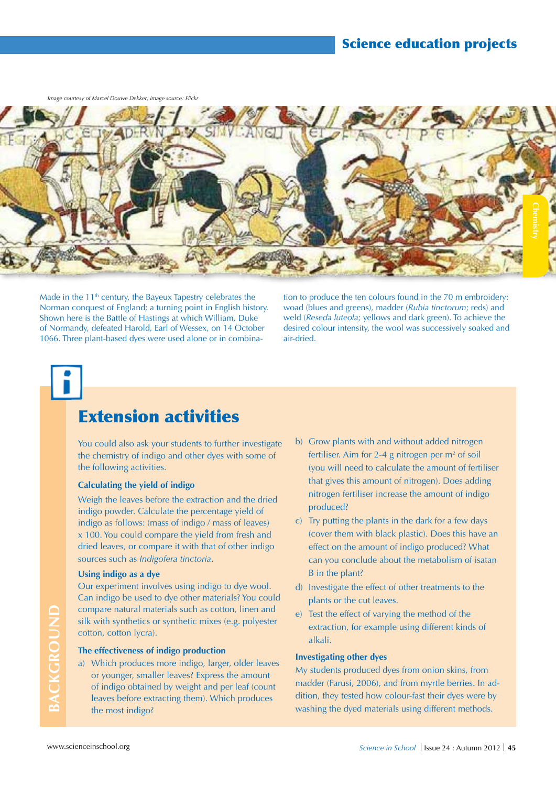*Image courtesy of Marcel Douwe Dekker; image source: Flickr*



Made in the 11<sup>th</sup> century, the Bayeux Tapestry celebrates the Norman conquest of England; a turning point in English history. Shown here is the Battle of Hastings at which William, Duke of Normandy, defeated Harold, Earl of Wessex, on 14 October 1066. Three plant-based dyes were used alone or in combina-

tion to produce the ten colours found in the 70 m embroidery: woad (blues and greens), madder (*Rubia tinctorum*; reds) and weld (*Reseda luteola*; yellows and dark green). To achieve the desired colour intensity, the wool was successively soaked and air-dried.

# Extension activities

You could also ask your students to further investigate the chemistry of indigo and other dyes with some of the following activities.

### **Calculating the yield of indigo**

Weigh the leaves before the extraction and the dried indigo powder. Calculate the percentage yield of indigo as follows: (mass of indigo / mass of leaves) x 100. You could compare the yield from fresh and dried leaves, or compare it with that of other indigo sources such as *Indigofera tinctoria*.

### **Using indigo as a dye**

Our experiment involves using indigo to dye wool. Can indigo be used to dye other materials? You could compare natural materials such as cotton, linen and silk with synthetics or synthetic mixes (e.g. polyester cotton, cotton lycra).

### **The effectiveness of indigo production**

a) Which produces more indigo, larger, older leaves or younger, smaller leaves? Express the amount of indigo obtained by weight and per leaf (count leaves before extracting them). Which produces the most indigo?

- b) Grow plants with and without added nitrogen fertiliser. Aim for 2-4 g nitrogen per  $m<sup>2</sup>$  of soil (you will need to calculate the amount of fertiliser that gives this amount of nitrogen). Does adding nitrogen fertiliser increase the amount of indigo produced?
- c) Try putting the plants in the dark for a few days (cover them with black plastic). Does this have an effect on the amount of indigo produced? What can you conclude about the metabolism of isatan B in the plant?
- d) Investigate the effect of other treatments to the plants or the cut leaves.
- e) Test the effect of varying the method of the extraction, for example using different kinds of alkali.

### **Investigating other dyes**

My students produced dyes from onion skins, from madder (Farusi, 2006), and from myrtle berries. In addition, they tested how colour-fast their dyes were by washing the dyed materials using different methods.